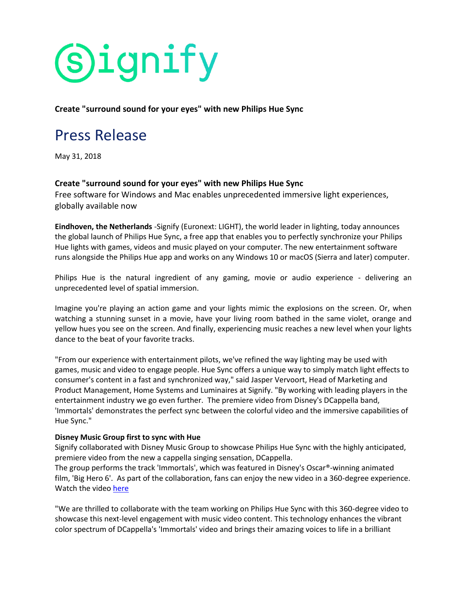# **Signify**

**Create "surround sound for your eyes" with new Philips Hue Sync**

## Press Release

May 31, 2018

#### **Create "surround sound for your eyes" with new Philips Hue Sync**

Free software for Windows and Mac enables unprecedented immersive light experiences, globally available now

**Eindhoven, the Netherlands** -Signify (Euronext: LIGHT), the world leader in lighting, today announces the global launch of Philips Hue Sync, a free app that enables you to perfectly synchronize your Philips Hue lights with games, videos and music played on your computer. The new entertainment software runs alongside the Philips Hue app and works on any Windows 10 or macOS (Sierra and later) computer.

Philips Hue is the natural ingredient of any gaming, movie or audio experience - delivering an unprecedented level of spatial immersion.

Imagine you're playing an action game and your lights mimic the explosions on the screen. Or, when watching a stunning sunset in a movie, have your living room bathed in the same violet, orange and yellow hues you see on the screen. And finally, experiencing music reaches a new level when your lights dance to the beat of your favorite tracks.

"From our experience with entertainment pilots, we've refined the way lighting may be used with games, music and video to engage people. Hue Sync offers a unique way to simply match light effects to consumer's content in a fast and synchronized way," said Jasper Vervoort, Head of Marketing and Product Management, Home Systems and Luminaires at Signify. "By working with leading players in the entertainment industry we go even further. The premiere video from Disney's DCappella band, 'Immortals' demonstrates the perfect sync between the colorful video and the immersive capabilities of Hue Sync."

#### **Disney Music Group first to sync with Hue**

Signify collaborated with Disney Music Group to showcase Philips Hue Sync with the highly anticipated, premiere video from the new a cappella singing sensation, DCappella.

The group performs the track 'Immortals', which was featured in Disney's Oscar®-winning animated film, 'Big Hero 6'. As part of the collaboration, fans can enjoy the new video in a 360-degree experience. Watch the video [here](https://urldefense.proofpoint.com/v2/url?u=https-3A__www.youtube.com_watch-3Fv-3DXcnU78rhFwk&d=DwMGaQ&c=9wxE0DgWbPxd1HCzjwN8Eaww1--ViDajIU4RXCxgSXE&r=YUj4OLfZ7GoeCnH2t1YhsmDxLrW1_1QzrlcBz_3xkSjIVUybqjthL3RxrP_wn3ec&m=mjn7LJHVgpgMZE-pJar7FUuHG9BsOZifNHC30VJg3zo&s=L72FPRIS7pGmhemW57CW3bBg95jMLV1pK8s5o3iTego&e=)

"We are thrilled to collaborate with the team working on Philips Hue Sync with this 360-degree video to showcase this next-level engagement with music video content. This technology enhances the vibrant color spectrum of DCappella's 'Immortals' video and brings their amazing voices to life in a brilliant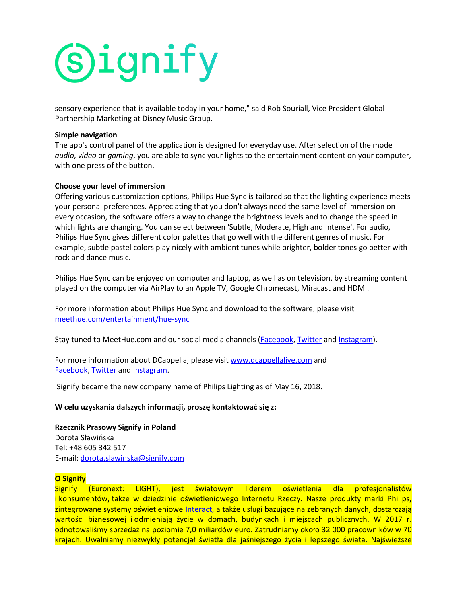

sensory experience that is available today in your home," said Rob Souriall, Vice President Global Partnership Marketing at Disney Music Group.

#### **Simple navigation**

The app's control panel of the application is designed for everyday use. After selection of the mode *audio*, *video* or *gaming*, you are able to sync your lights to the entertainment content on your computer, with one press of the button.

#### **Choose your level of immersion**

Offering various customization options, Philips Hue Sync is tailored so that the lighting experience meets your personal preferences. Appreciating that you don't always need the same level of immersion on every occasion, the software offers a way to change the brightness levels and to change the speed in which lights are changing. You can select between 'Subtle, Moderate, High and Intense'. For audio, Philips Hue Sync gives different color palettes that go well with the different genres of music. For example, subtle pastel colors play nicely with ambient tunes while brighter, bolder tones go better with rock and dance music.

Philips Hue Sync can be enjoyed on computer and laptop, as well as on television, by streaming content played on the computer via AirPlay to an Apple TV, Google Chromecast, Miracast and HDMI.

For more information about Philips Hue Sync and download to the software, please visit [meethue.com/entertainment/hue-sync](https://urldefense.proofpoint.com/v2/url?u=https-3A__www.meethue.com_hue-2Dsync&d=DwMGaQ&c=9wxE0DgWbPxd1HCzjwN8Eaww1--ViDajIU4RXCxgSXE&r=YUj4OLfZ7GoeCnH2t1YhsmDxLrW1_1QzrlcBz_3xkSjIVUybqjthL3RxrP_wn3ec&m=mjn7LJHVgpgMZE-pJar7FUuHG9BsOZifNHC30VJg3zo&s=zXQRZwR0thPlS2cM9bqg8UmaBFrxNHHVYcC2uOnH7-0&e=)

Stay tuned to MeetHue.com and our social media channels [\(Facebook,](https://urldefense.proofpoint.com/v2/url?u=https-3A__www.facebook.com_HuePhilips_&d=DwMGaQ&c=9wxE0DgWbPxd1HCzjwN8Eaww1--ViDajIU4RXCxgSXE&r=YUj4OLfZ7GoeCnH2t1YhsmDxLrW1_1QzrlcBz_3xkSjIVUybqjthL3RxrP_wn3ec&m=mjn7LJHVgpgMZE-pJar7FUuHG9BsOZifNHC30VJg3zo&s=J-LNEHeySvetqiE7XyOvH5-ywhpIc1-zYb7HA-ttypg&e=) [Twitter](https://urldefense.proofpoint.com/v2/url?u=https-3A__twitter.com_tweethue&d=DwMGaQ&c=9wxE0DgWbPxd1HCzjwN8Eaww1--ViDajIU4RXCxgSXE&r=YUj4OLfZ7GoeCnH2t1YhsmDxLrW1_1QzrlcBz_3xkSjIVUybqjthL3RxrP_wn3ec&m=mjn7LJHVgpgMZE-pJar7FUuHG9BsOZifNHC30VJg3zo&s=mJAZfBqYIObFarEh2zgQwpM_tcg_xhbO7yIy1jBh0no&e=) and [Instagram\)](https://urldefense.proofpoint.com/v2/url?u=https-3A__www.instagram.com_philipshue_&d=DwMGaQ&c=9wxE0DgWbPxd1HCzjwN8Eaww1--ViDajIU4RXCxgSXE&r=YUj4OLfZ7GoeCnH2t1YhsmDxLrW1_1QzrlcBz_3xkSjIVUybqjthL3RxrP_wn3ec&m=mjn7LJHVgpgMZE-pJar7FUuHG9BsOZifNHC30VJg3zo&s=M4C89lIeAERNsgIIG1YNJkIIOidsmbxIQQjrRWAfFBA&e=).

For more information about DCappella, please visit [www.dcappellalive.com](https://urldefense.proofpoint.com/v2/url?u=http-3A__www.dcappellalive.com_&d=DwMGaQ&c=9wxE0DgWbPxd1HCzjwN8Eaww1--ViDajIU4RXCxgSXE&r=YUj4OLfZ7GoeCnH2t1YhsmDxLrW1_1QzrlcBz_3xkSjIVUybqjthL3RxrP_wn3ec&m=mjn7LJHVgpgMZE-pJar7FUuHG9BsOZifNHC30VJg3zo&s=RqeoTj4VK1df5yjXnt6oXDxMSYKSz4fKy1zjJGIfyUw&e=) and [Facebook,](https://urldefense.proofpoint.com/v2/url?u=http-3A__www.facebook.com_DCappellaMusic_&d=DwMGaQ&c=9wxE0DgWbPxd1HCzjwN8Eaww1--ViDajIU4RXCxgSXE&r=YUj4OLfZ7GoeCnH2t1YhsmDxLrW1_1QzrlcBz_3xkSjIVUybqjthL3RxrP_wn3ec&m=mjn7LJHVgpgMZE-pJar7FUuHG9BsOZifNHC30VJg3zo&s=B8ykx8ima_YnQpYni_rdfYsq6HAyhn0ZgAVbTzYWVwA&e=) [Twitter](https://urldefense.proofpoint.com/v2/url?u=https-3A__twitter.com_dcappellamusic&d=DwMGaQ&c=9wxE0DgWbPxd1HCzjwN8Eaww1--ViDajIU4RXCxgSXE&r=YUj4OLfZ7GoeCnH2t1YhsmDxLrW1_1QzrlcBz_3xkSjIVUybqjthL3RxrP_wn3ec&m=mjn7LJHVgpgMZE-pJar7FUuHG9BsOZifNHC30VJg3zo&s=d_Nmzqj_JrDuGyyKRwAZ8zkoRuKsgYA3OWFoucRuObo&e=) and [Instagram.](https://urldefense.proofpoint.com/v2/url?u=https-3A__www.instagram.com_dcappellamusic_&d=DwMGaQ&c=9wxE0DgWbPxd1HCzjwN8Eaww1--ViDajIU4RXCxgSXE&r=YUj4OLfZ7GoeCnH2t1YhsmDxLrW1_1QzrlcBz_3xkSjIVUybqjthL3RxrP_wn3ec&m=mjn7LJHVgpgMZE-pJar7FUuHG9BsOZifNHC30VJg3zo&s=4sBAu0fgpHao-K2W29kLoc2CINaHH-BbQ-GraKQuvtc&e=)

Signify became the new company name of Philips Lighting as of May 16, 2018.

#### **W celu uzyskania dalszych informacji, proszę kontaktować się z:**

### **Rzecznik Prasowy Signify in Poland**

Dorota Sławińska Tel: +48 605 342 517 E-mail: [dorota.slawinska@signify.com](mailto:dorota.slawinska@signify.com)

#### **O Signify**

Signify (Euronext: LIGHT), jest światowym liderem oświetlenia dla profesjonalistów i konsumentów, także w dziedzinie oświetleniowego Internetu Rzeczy. Nasze produkty marki Philips, zintegrowane systemy oświetleniowe [Interact,](https://www.interact-lighting.com/en) a także usługi bazujące na zebranych danych, dostarczają wartości biznesowej i odmieniają życie w domach, budynkach i miejscach publicznych. W 2017 r. odnotowaliśmy sprzedaż na poziomie 7,0 miliardów euro. Zatrudniamy około 32 000 pracowników w 70 krajach. Uwalniamy niezwykły potencjał światła dla jaśniejszego życia i lepszego świata. Najświeższe